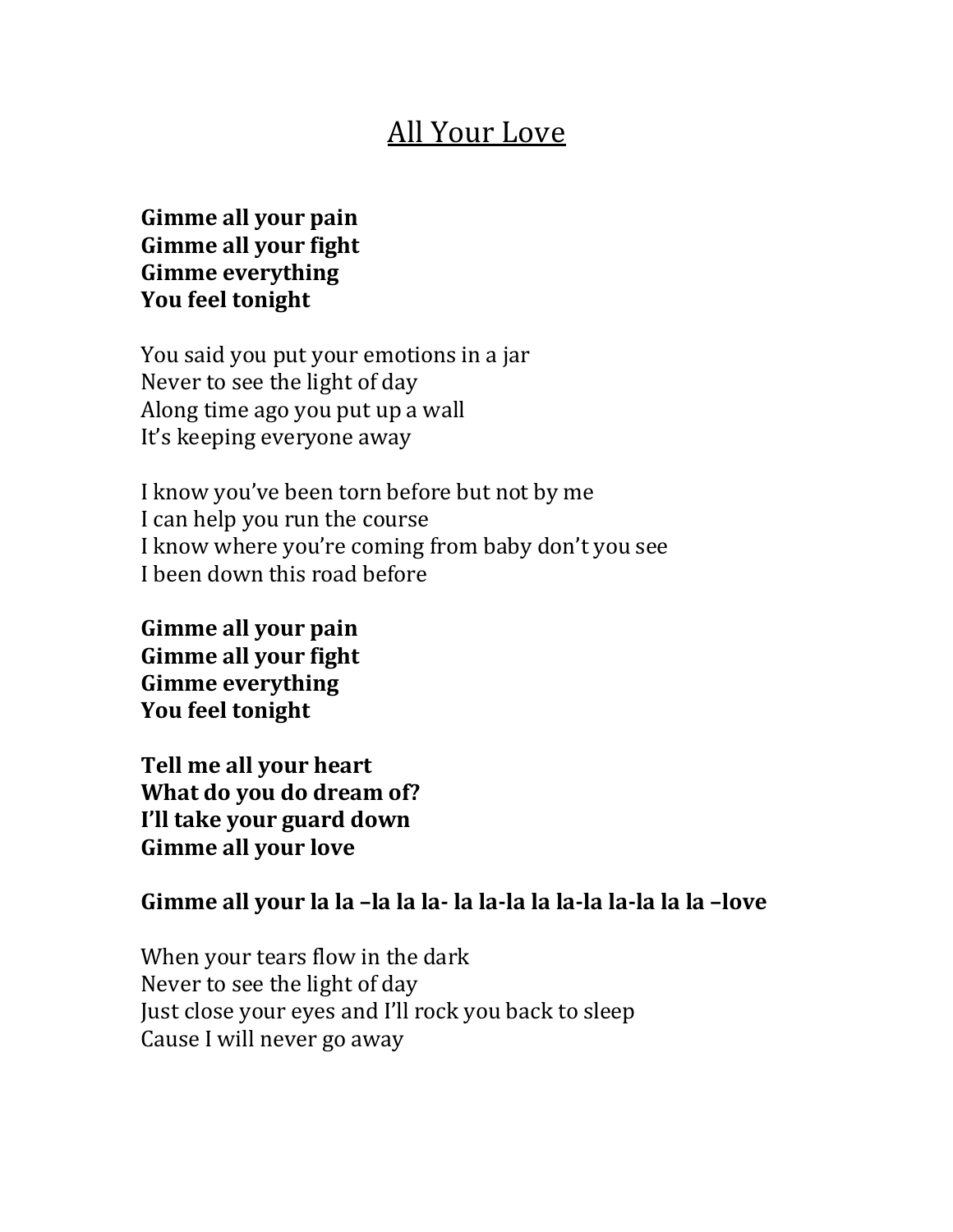## **All Your Love**

## Gimme all your pain Gimme all your fight **Gimme everything** You feel tonight

You said you put your emotions in a jar Never to see the light of day Along time ago you put up a wall It's keeping everyone away

I know you've been torn before but not by me I can help you run the course I know where you're coming from baby don't you see I been down this road before

Gimme all your pain **Gimme all your fight Gimme everything You feel tonight** 

**Tell me all your heart What do you do dream of? I'll take your guard down Gimme all your love** 

## Gimme all your la la -la la la- la la-la la la-la la-la la la -love

When your tears flow in the dark Never to see the light of day Just close your eyes and I'll rock you back to sleep Cause I will never go away